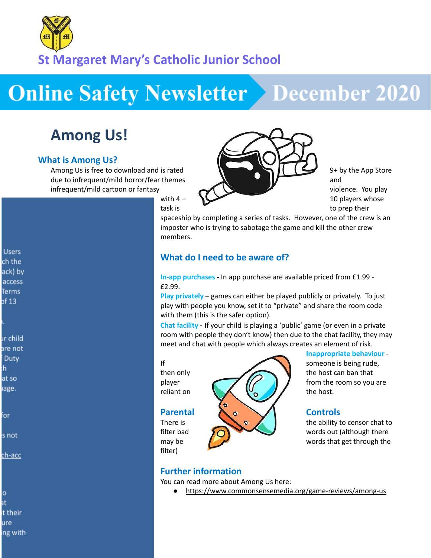

**St Margaret Mary's Catholic Junior School**

# **Online Safety Newsletter > December 2020**

# **Among Us!**

#### **What is Among Us?**

Among Us is free to download and is rated 9+ by the App Store due to infrequent/mild horror/fear themes and and state of the state and state and state and state and state and infrequent/mild cartoon or fantasy violence. You play

**Users** ch the ack) by access **Terms** of 13

ır child are not Duty h. at so iage.

for

s not

ch-acc

O. at t their ure ing with



task is the contract of the contract of the prep their

spaceship by completing a series of tasks. However, one of the crew is an imposter who is trying to sabotage the game and kill the other crew members.

### **What do I need to be aware of?**

**In-app purchases -** In app purchase are available priced from £1.99 - £2.99.

**Play privately –** games can either be played publicly or privately. To just play with people you know, set it to "private" and share the room code with them (this is the safer option).

**Chat facility -** If your child is playing a 'public' game (or even in a private room with people they don't know) then due to the chat facility, they may meet and chat with people which always creates an element of risk.

filter)



**Inappropriate behaviour** -

There is the ability to censor chat to filter bad  $\bigcirc$  and  $\bigcirc$  words out (although there may be  $\sqrt{2}$  words that get through the

### **Further information**

You can read more about Among Us here:

<https://www.commonsensemedia.org/game-reviews/among-us>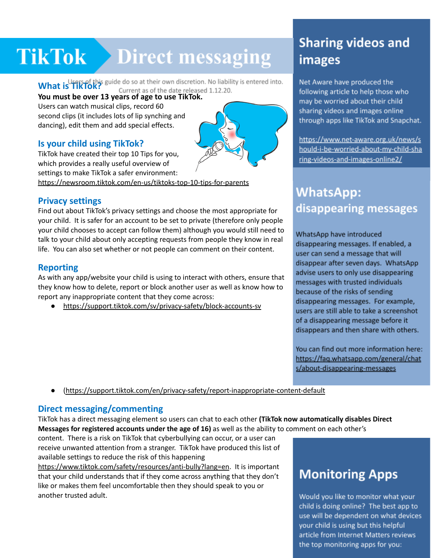# TikTok Direct messaging images

### **What is TikTok?**<br>**What is TikTok? YOU MUST BE ATTLE YOU MUST LIK FORM** Current as of the date released 1.12.20.<br>You must be over 13 years of age to use TikTok.

Users can watch musical clips, record 60 second clips (it includes lots of lip synching and dancing), edit them and add special effects.

#### **Is your child using TikTok?**

TikTok have created their top 10 Tips for you, which provides a really useful overview of settings to make TikTok a safer environment:

<https://newsroom.tiktok.com/en-us/tiktoks-top-10-tips-for-parents>

#### **Privacy settings**

Find out about TikTok's privacy settings and choose the most appropriate for your child. It is safer for an account to be set to private (therefore only people your child chooses to accept can follow them) although you would still need to talk to your child about only accepting requests from people they know in real life. You can also set whether or not people can comment on their content.

#### **Reporting**

As with any app/website your child is using to interact with others, ensure that they know how to delete, report or block another user as well as know how to report any inappropriate content that they come across:

● <https://support.tiktok.com/sv/privacy-safety/block-accounts-sv>

# **Sharing videos and**

Net Aware have produced the following article to help those who may be worried about their child sharing videos and images online through apps like TikTok and Snapchat.

https://www.net-aware.org.uk/news/s hould-i-be-worried-about-my-child-sha ring-videos-and-images-online2/

## **WhatsApp:** disappearing messages

WhatsApp have introduced disappearing messages. If enabled, a user can send a message that will disappear after seven days. WhatsApp advise users to only use disappearing messages with trusted individuals because of the risks of sending disappearing messages. For example, users are still able to take a screenshot of a disappearing message before it disappears and then share with others.

You can find out more information here: https://faq.whatsapp.com/general/chat s/about-disappearing-messages

● [\(https://support.tiktok.com/en/privacy-safety/report-inappropriate-content-default](https://support.tiktok.com/en/privacy-safety/report-inappropriate-content-default)

### **Direct messaging/commenting**

TikTok has a direct messaging element so users can chat to each other **(TikTok now automatically disables Direct Messages for registered accounts under the age of 16)** as well as the ability to comment on each other's

content. There is a risk on TikTok that cyberbullying can occur, or a user can receive unwanted attention from a stranger. TikTok have produced this list of available settings to reduce the risk of this happening

[https://www.tiktok.com/safety/resources/anti-bully?lang=en.](https://www.tiktok.com/safety/resources/anti-bully?lang=en) It is important that your child understands that if they come across anything that they don't like or makes them feel uncomfortable then they should speak to you or another trusted adult.

# **Monitoring Apps**

Would you like to monitor what your child is doing online? The best app to use will be dependent on what devices your child is using but this helpful article from Internet Matters reviews the top monitoring apps for you: